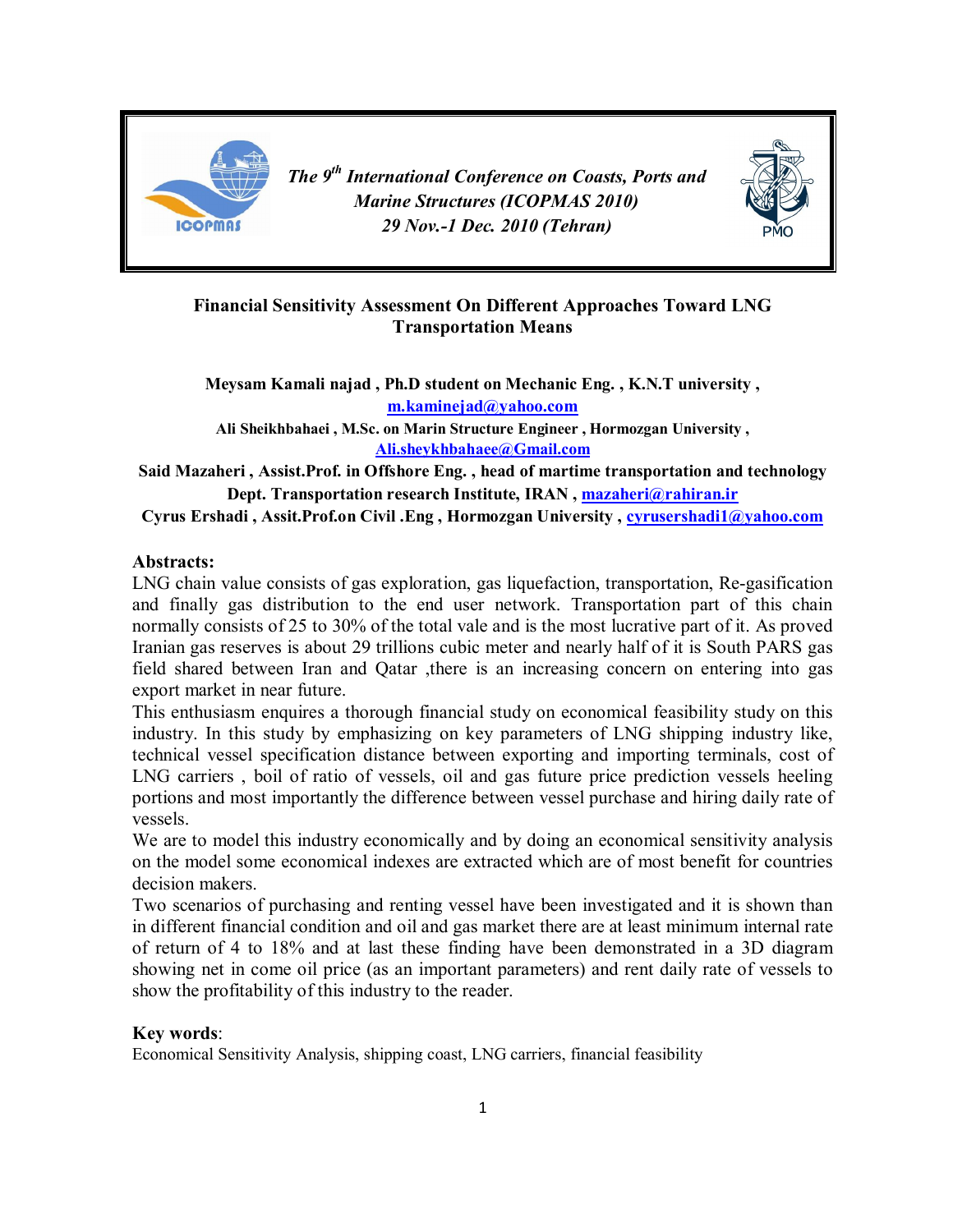

*The 9th International Conference on Coasts, Ports and Marine Structures (ICOPMAS 2010) 29 Nov.-1 Dec. 2010 (Tehran)*



## Financial Sensitivity Assessment On Different Approaches Toward LNG Transportation Means

Meysam Kamali najad , Ph.D student on Mechanic Eng. , K.N.T university , m.kaminejad@yahoo.com

Ali Sheikhbahaei , M.Sc. on Marin Structure Engineer , Hormozgan University , Ali.sheykhbahaee@Gmail.com

Said Mazaheri , Assist.Prof. in Offshore Eng. , head of martime transportation and technology Dept. Transportation research Institute, IRAN, mazaheri@rahiran.ir

Cyrus Ershadi , Assit.Prof.on Civil .Eng , Hormozgan University , cyrusershadi1@yahoo.com

### Abstracts:

LNG chain value consists of gas exploration, gas liquefaction, transportation, Re-gasification and finally gas distribution to the end user network. Transportation part of this chain normally consists of 25 to 30% of the total vale and is the most lucrative part of it. As proved Iranian gas reserves is about 29 trillions cubic meter and nearly half of it is South PARS gas field shared between Iran and Qatar ,there is an increasing concern on entering into gas export market in near future.

This enthusiasm enquires a thorough financial study on economical feasibility study on this industry. In this study by emphasizing on key parameters of LNG shipping industry like, technical vessel specification distance between exporting and importing terminals, cost of LNG carriers , boil of ratio of vessels, oil and gas future price prediction vessels heeling portions and most importantly the difference between vessel purchase and hiring daily rate of vessels.

We are to model this industry economically and by doing an economical sensitivity analysis on the model some economical indexes are extracted which are of most benefit for countries decision makers.

Two scenarios of purchasing and renting vessel have been investigated and it is shown than in different financial condition and oil and gas market there are at least minimum internal rate of return of 4 to 18% and at last these finding have been demonstrated in a 3D diagram showing net in come oil price (as an important parameters) and rent daily rate of vessels to show the profitability of this industry to the reader.

### Key words:

Economical Sensitivity Analysis, shipping coast, LNG carriers, financial feasibility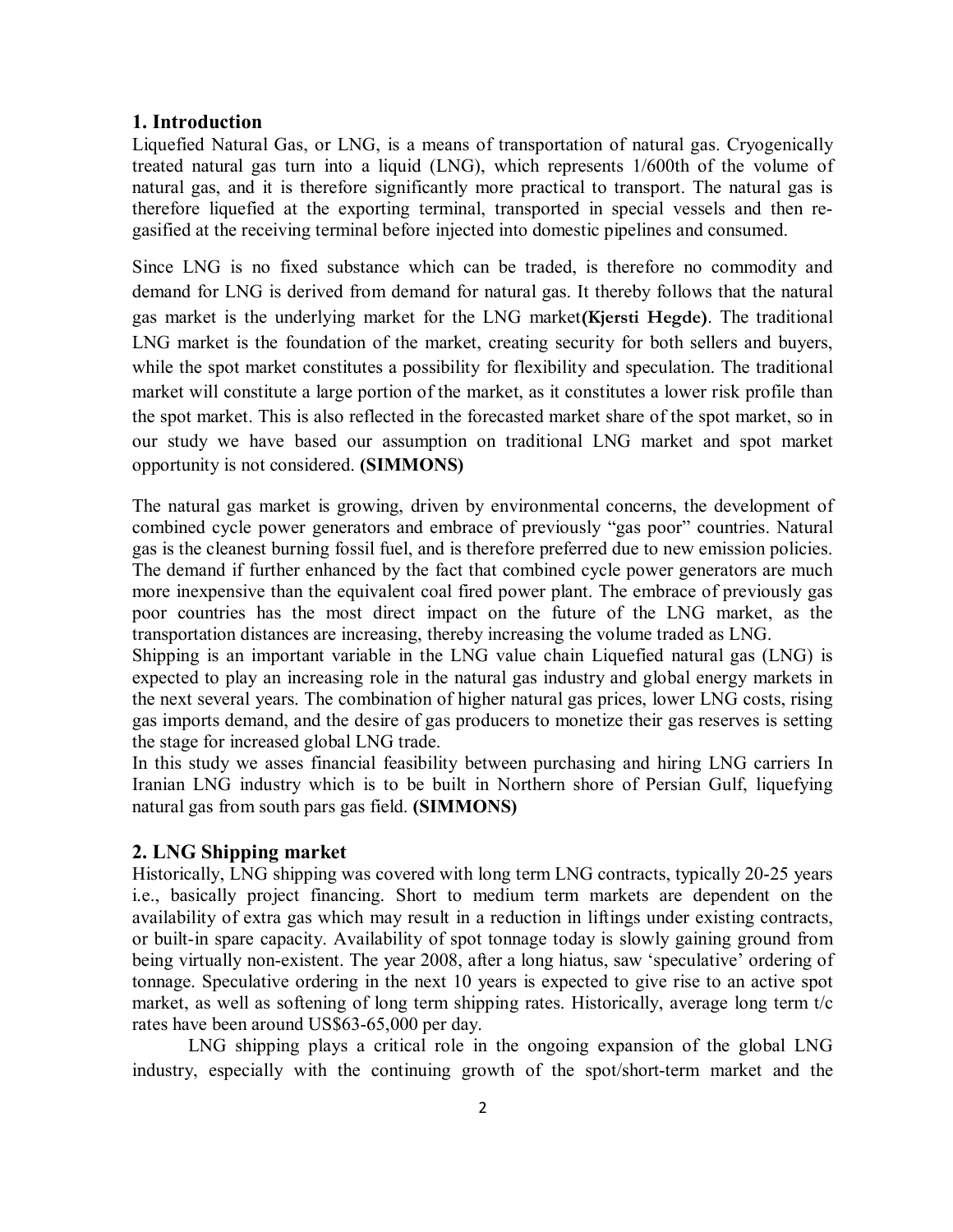### 1. Introduction

Liquefied Natural Gas, or LNG, is a means of transportation of natural gas. Cryogenically treated natural gas turn into a liquid (LNG), which represents 1/600th of the volume of natural gas, and it is therefore significantly more practical to transport. The natural gas is therefore liquefied at the exporting terminal, transported in special vessels and then regasified at the receiving terminal before injected into domestic pipelines and consumed.

Since LNG is no fixed substance which can be traded, is therefore no commodity and demand for LNG is derived from demand for natural gas. It thereby follows that the natural gas market is the underlying market for the LNG market(Kjersti Hegde). The traditional LNG market is the foundation of the market, creating security for both sellers and buyers, while the spot market constitutes a possibility for flexibility and speculation. The traditional market will constitute a large portion of the market, as it constitutes a lower risk profile than the spot market. This is also reflected in the forecasted market share of the spot market, so in our study we have based our assumption on traditional LNG market and spot market opportunity is not considered. (SIMMONS)

The natural gas market is growing, driven by environmental concerns, the development of combined cycle power generators and embrace of previously "gas poor" countries. Natural gas is the cleanest burning fossil fuel, and is therefore preferred due to new emission policies. The demand if further enhanced by the fact that combined cycle power generators are much more inexpensive than the equivalent coal fired power plant. The embrace of previously gas poor countries has the most direct impact on the future of the LNG market, as the transportation distances are increasing, thereby increasing the volume traded as LNG.

Shipping is an important variable in the LNG value chain Liquefied natural gas (LNG) is expected to play an increasing role in the natural gas industry and global energy markets in the next several years. The combination of higher natural gas prices, lower LNG costs, rising gas imports demand, and the desire of gas producers to monetize their gas reserves is setting the stage for increased global LNG trade.

In this study we asses financial feasibility between purchasing and hiring LNG carriers In Iranian LNG industry which is to be built in Northern shore of Persian Gulf, liquefying natural gas from south pars gas field. (SIMMONS)

### 2. LNG Shipping market

Historically, LNG shipping was covered with long term LNG contracts, typically 20-25 years i.e., basically project financing. Short to medium term markets are dependent on the availability of extra gas which may result in a reduction in liftings under existing contracts, or built-in spare capacity. Availability of spot tonnage today is slowly gaining ground from being virtually non-existent. The year 2008, after a long hiatus, saw 'speculative' ordering of tonnage. Speculative ordering in the next 10 years is expected to give rise to an active spot market, as well as softening of long term shipping rates. Historically, average long term t/c rates have been around US\$63-65,000 per day.

LNG shipping plays a critical role in the ongoing expansion of the global LNG industry, especially with the continuing growth of the spot/short-term market and the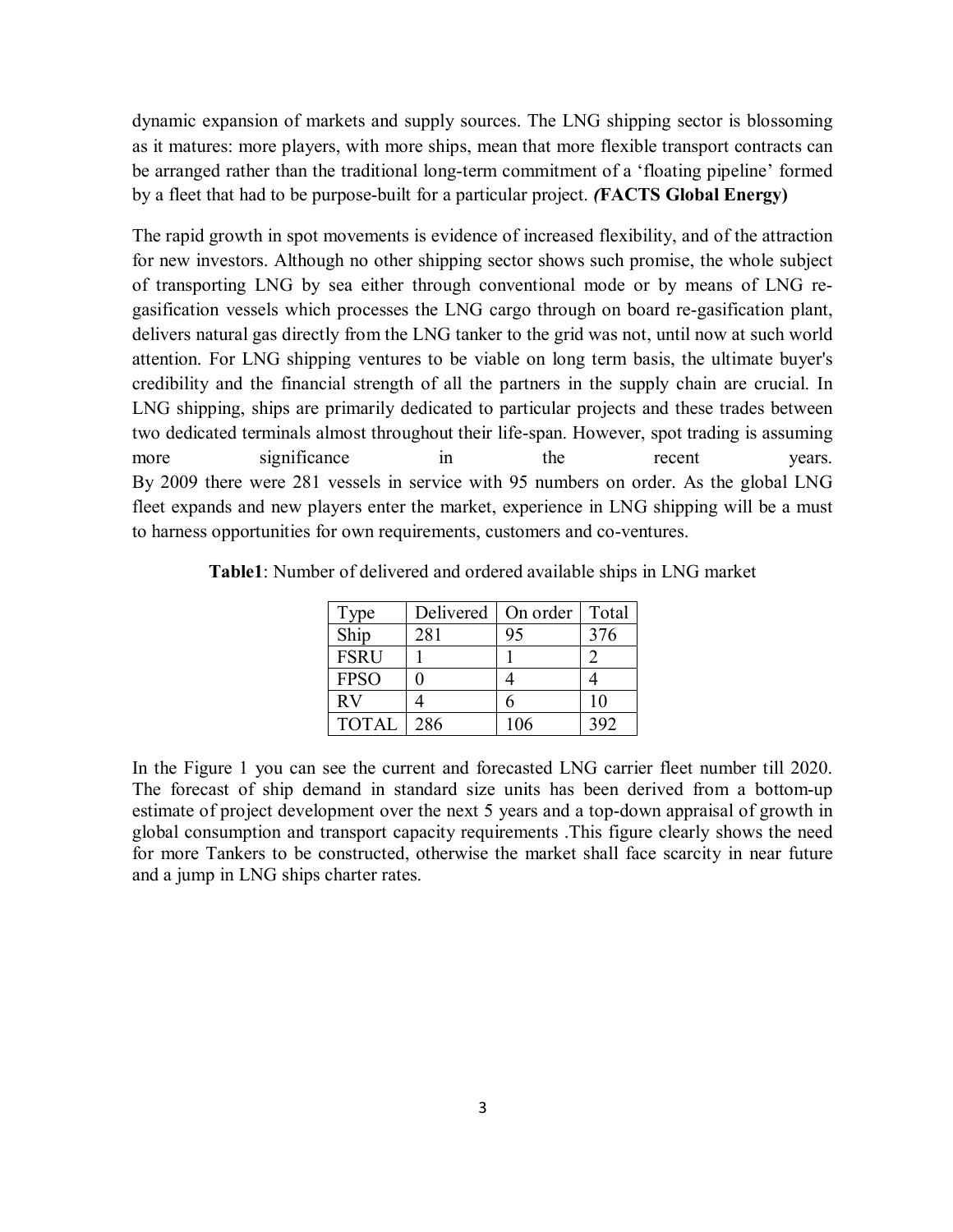dynamic expansion of markets and supply sources. The LNG shipping sector is blossoming as it matures: more players, with more ships, mean that more flexible transport contracts can be arranged rather than the traditional long-term commitment of a 'floating pipeline' formed by a fleet that had to be purpose-built for a particular project. *(*FACTS Global Energy)

The rapid growth in spot movements is evidence of increased flexibility, and of the attraction for new investors. Although no other shipping sector shows such promise, the whole subject of transporting LNG by sea either through conventional mode or by means of LNG regasification vessels which processes the LNG cargo through on board re-gasification plant, delivers natural gas directly from the LNG tanker to the grid was not, until now at such world attention. For LNG shipping ventures to be viable on long term basis, the ultimate buyer's credibility and the financial strength of all the partners in the supply chain are crucial. In LNG shipping, ships are primarily dedicated to particular projects and these trades between two dedicated terminals almost throughout their life-span. However, spot trading is assuming more significance in the recent years. By 2009 there were 281 vessels in service with 95 numbers on order. As the global LNG fleet expands and new players enter the market, experience in LNG shipping will be a must to harness opportunities for own requirements, customers and co-ventures.

| Type         | Delivered | On order | Total |
|--------------|-----------|----------|-------|
| Ship         | 281       | 95       | 376   |
| <b>FSRU</b>  |           |          |       |
| <b>FPSO</b>  |           |          |       |
| RV           |           | h        | 10    |
| <b>TOTAL</b> | 286       | 106      | 392   |

Table1: Number of delivered and ordered available ships in LNG market

In the Figure 1 you can see the current and forecasted LNG carrier fleet number till 2020. The forecast of ship demand in standard size units has been derived from a bottom-up estimate of project development over the next 5 years and a top-down appraisal of growth in global consumption and transport capacity requirements .This figure clearly shows the need for more Tankers to be constructed, otherwise the market shall face scarcity in near future and a jump in LNG ships charter rates.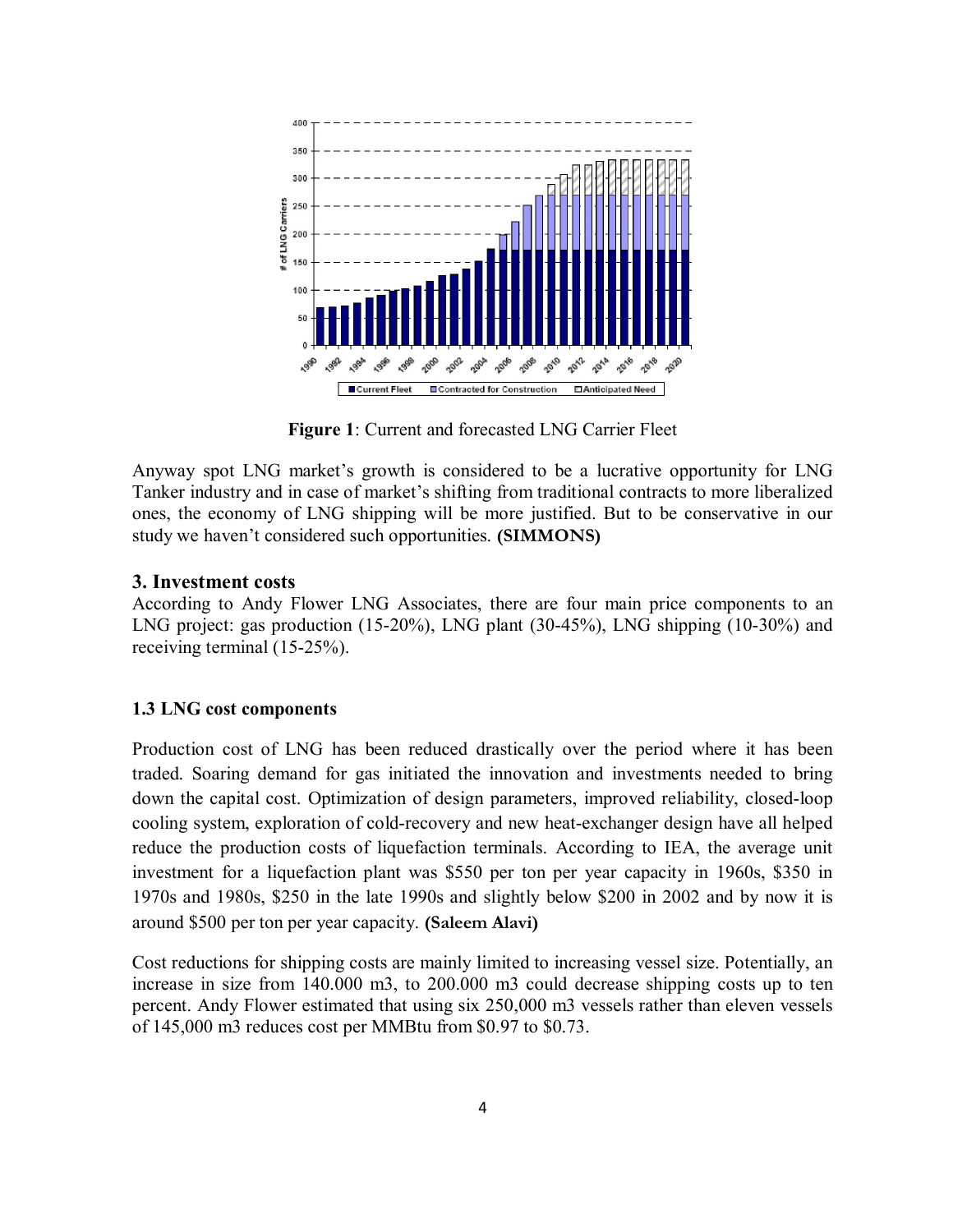

Figure 1: Current and forecasted LNG Carrier Fleet

Anyway spot LNG market's growth is considered to be a lucrative opportunity for LNG Tanker industry and in case of market's shifting from traditional contracts to more liberalized ones, the economy of LNG shipping will be more justified. But to be conservative in our study we haven't considered such opportunities. (SIMMONS)

## 3. Investment costs

According to Andy Flower LNG Associates, there are four main price components to an LNG project: gas production (15-20%), LNG plant (30-45%), LNG shipping (10-30%) and receiving terminal (15-25%).

### 1.3 LNG cost components

Production cost of LNG has been reduced drastically over the period where it has been traded. Soaring demand for gas initiated the innovation and investments needed to bring down the capital cost. Optimization of design parameters, improved reliability, closed-loop cooling system, exploration of cold-recovery and new heat-exchanger design have all helped reduce the production costs of liquefaction terminals. According to IEA, the average unit investment for a liquefaction plant was \$550 per ton per year capacity in 1960s, \$350 in 1970s and 1980s, \$250 in the late 1990s and slightly below \$200 in 2002 and by now it is around \$500 per ton per year capacity. (Saleem Alavi)

Cost reductions for shipping costs are mainly limited to increasing vessel size. Potentially, an increase in size from 140.000 m3, to 200.000 m3 could decrease shipping costs up to ten percent. Andy Flower estimated that using six 250,000 m3 vessels rather than eleven vessels of 145,000 m3 reduces cost per MMBtu from \$0.97 to \$0.73.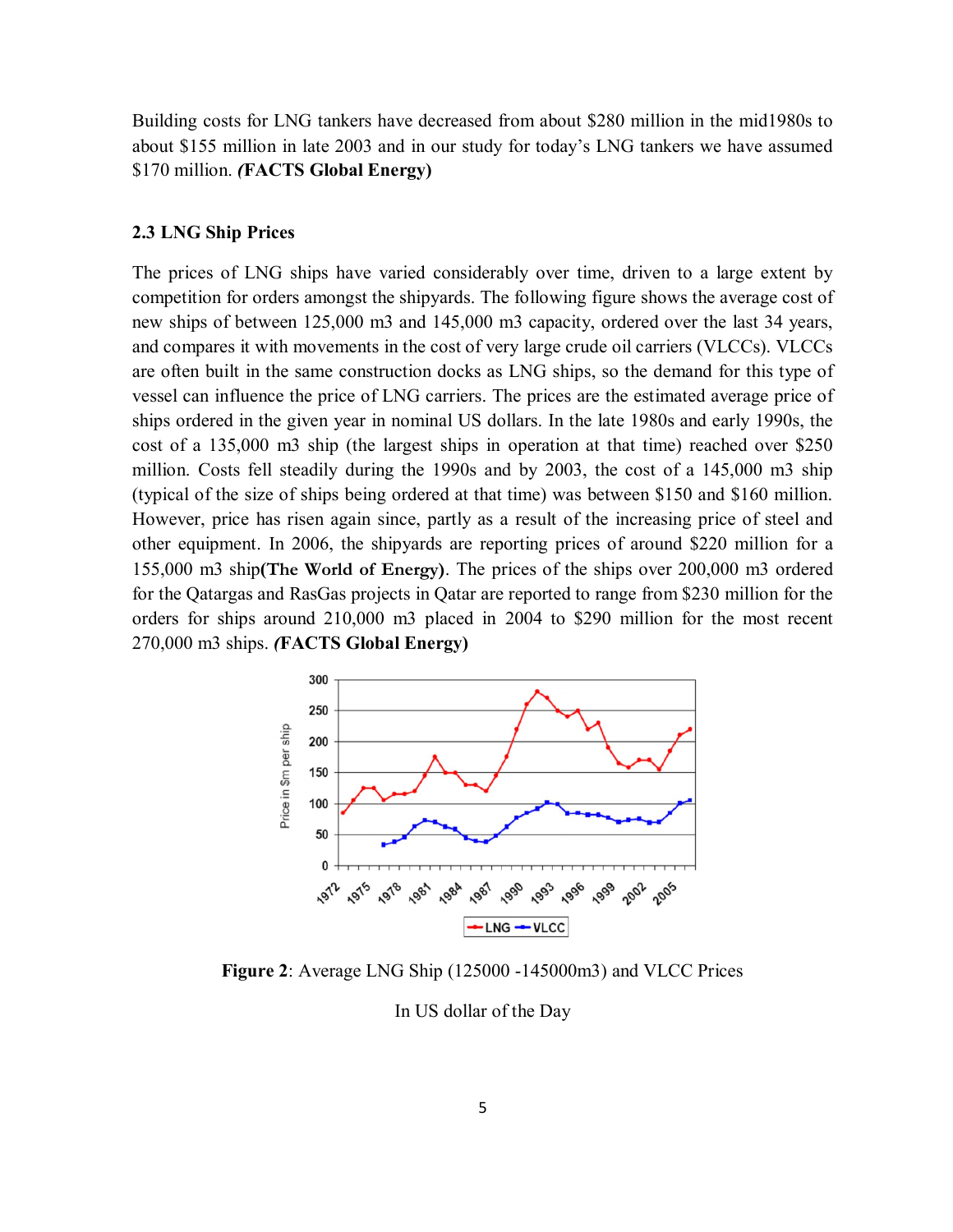Building costs for LNG tankers have decreased from about \$280 million in the mid1980s to about \$155 million in late 2003 and in our study for today's LNG tankers we have assumed \$170 million. *(*FACTS Global Energy)

### 2.3 LNG Ship Prices

The prices of LNG ships have varied considerably over time, driven to a large extent by competition for orders amongst the shipyards. The following figure shows the average cost of new ships of between 125,000 m3 and 145,000 m3 capacity, ordered over the last 34 years, and compares it with movements in the cost of very large crude oil carriers (VLCCs). VLCCs are often built in the same construction docks as LNG ships, so the demand for this type of vessel can influence the price of LNG carriers. The prices are the estimated average price of ships ordered in the given year in nominal US dollars. In the late 1980s and early 1990s, the cost of a 135,000 m3 ship (the largest ships in operation at that time) reached over \$250 million. Costs fell steadily during the 1990s and by 2003, the cost of a 145,000 m3 ship (typical of the size of ships being ordered at that time) was between \$150 and \$160 million. However, price has risen again since, partly as a result of the increasing price of steel and other equipment. In 2006, the shipyards are reporting prices of around \$220 million for a 155,000 m3 ship(The World of Energy). The prices of the ships over 200,000 m3 ordered for the Qatargas and RasGas projects in Qatar are reported to range from \$230 million for the orders for ships around 210,000 m3 placed in 2004 to \$290 million for the most recent 270,000 m3 ships. *(*FACTS Global Energy)



Figure 2: Average LNG Ship (125000 -145000m3) and VLCC Prices

In US dollar of the Day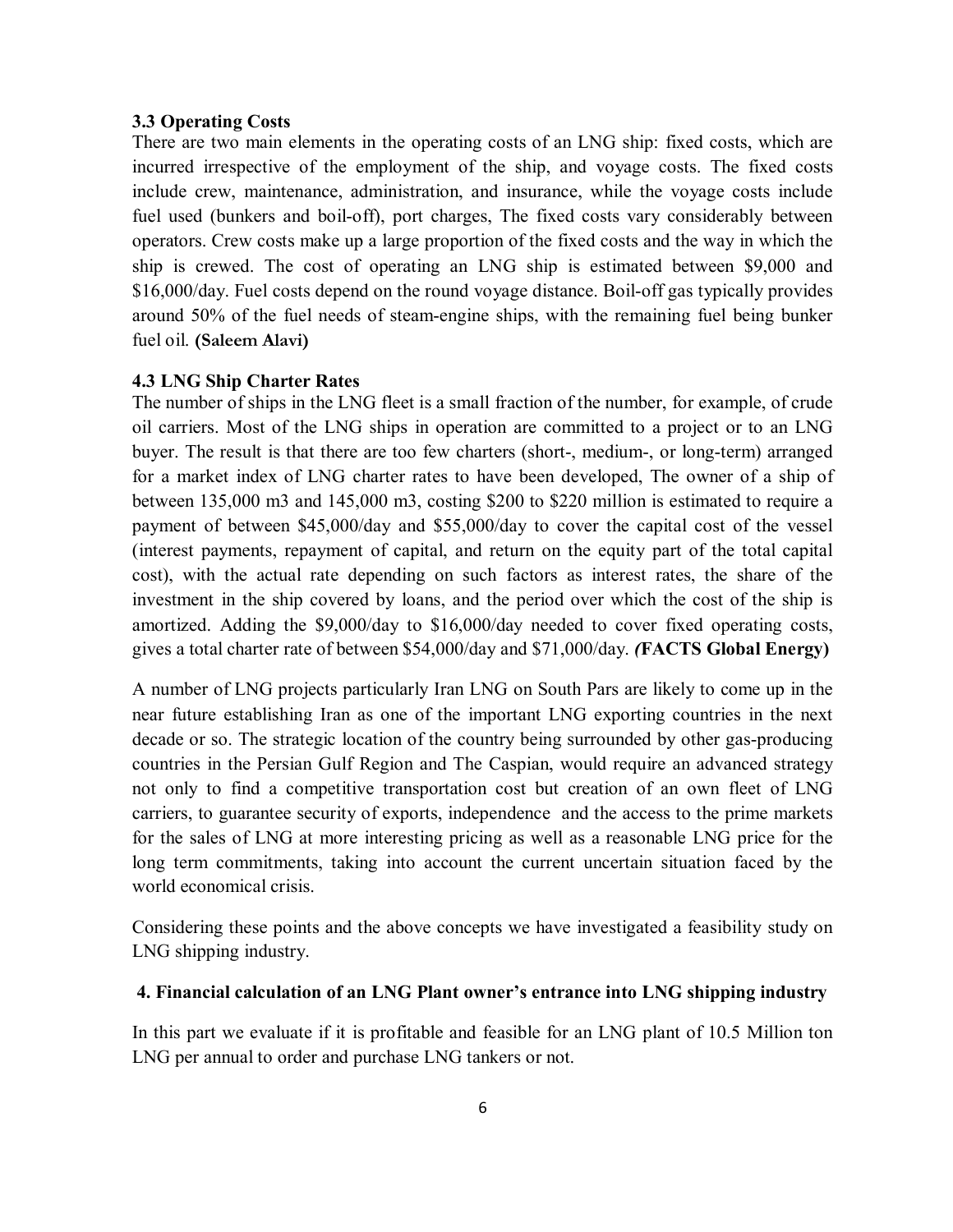#### 3.3 Operating Costs

There are two main elements in the operating costs of an LNG ship: fixed costs, which are incurred irrespective of the employment of the ship, and voyage costs. The fixed costs include crew, maintenance, administration, and insurance, while the voyage costs include fuel used (bunkers and boil-off), port charges, The fixed costs vary considerably between operators. Crew costs make up a large proportion of the fixed costs and the way in which the ship is crewed. The cost of operating an LNG ship is estimated between \$9,000 and \$16,000/day. Fuel costs depend on the round voyage distance. Boil-off gas typically provides around 50% of the fuel needs of steam-engine ships, with the remaining fuel being bunker fuel oil. (Saleem Alavi)

#### 4.3 LNG Ship Charter Rates

The number of ships in the LNG fleet is a small fraction of the number, for example, of crude oil carriers. Most of the LNG ships in operation are committed to a project or to an LNG buyer. The result is that there are too few charters (short-, medium-, or long-term) arranged for a market index of LNG charter rates to have been developed, The owner of a ship of between 135,000 m3 and 145,000 m3, costing \$200 to \$220 million is estimated to require a payment of between \$45,000/day and \$55,000/day to cover the capital cost of the vessel (interest payments, repayment of capital, and return on the equity part of the total capital cost), with the actual rate depending on such factors as interest rates, the share of the investment in the ship covered by loans, and the period over which the cost of the ship is amortized. Adding the \$9,000/day to \$16,000/day needed to cover fixed operating costs, gives a total charter rate of between \$54,000/day and \$71,000/day. *(*FACTS Global Energy)

A number of LNG projects particularly Iran LNG on South Pars are likely to come up in the near future establishing Iran as one of the important LNG exporting countries in the next decade or so. The strategic location of the country being surrounded by other gas-producing countries in the Persian Gulf Region and The Caspian, would require an advanced strategy not only to find a competitive transportation cost but creation of an own fleet of LNG carriers, to guarantee security of exports, independence and the access to the prime markets for the sales of LNG at more interesting pricing as well as a reasonable LNG price for the long term commitments, taking into account the current uncertain situation faced by the world economical crisis.

Considering these points and the above concepts we have investigated a feasibility study on LNG shipping industry.

### 4. Financial calculation of an LNG Plant owner's entrance into LNG shipping industry

In this part we evaluate if it is profitable and feasible for an LNG plant of 10.5 Million ton LNG per annual to order and purchase LNG tankers or not.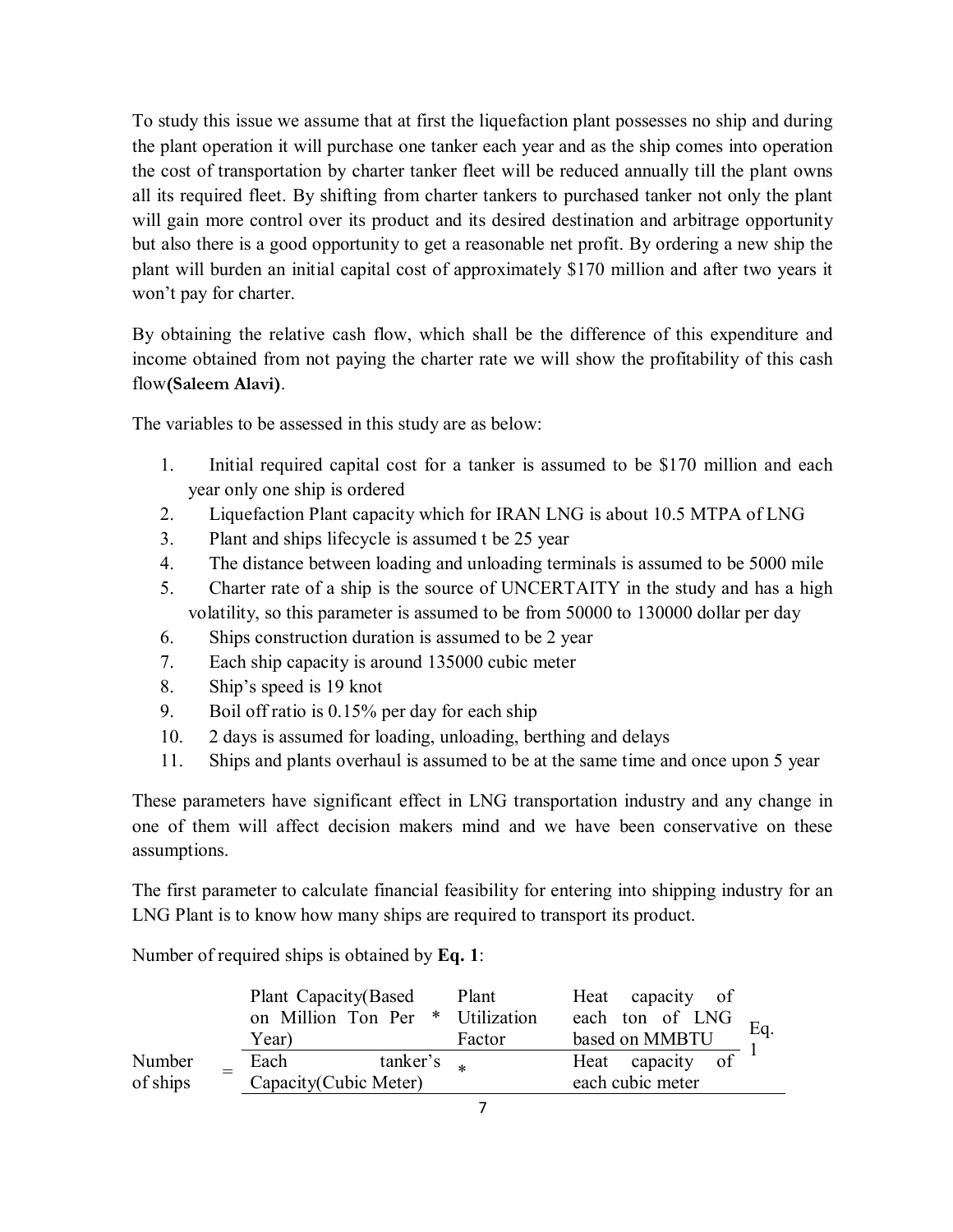To study this issue we assume that at first the liquefaction plant possesses no ship and during the plant operation it will purchase one tanker each year and as the ship comes into operation the cost of transportation by charter tanker fleet will be reduced annually till the plant owns all its required fleet. By shifting from charter tankers to purchased tanker not only the plant will gain more control over its product and its desired destination and arbitrage opportunity but also there is a good opportunity to get a reasonable net profit. By ordering a new ship the plant will burden an initial capital cost of approximately \$170 million and after two years it won't pay for charter.

By obtaining the relative cash flow, which shall be the difference of this expenditure and income obtained from not paying the charter rate we will show the profitability of this cash flow(Saleem Alavi).

The variables to be assessed in this study are as below:

- 1. Initial required capital cost for a tanker is assumed to be \$170 million and each year only one ship is ordered
- 2. Liquefaction Plant capacity which for IRAN LNG is about 10.5 MTPA of LNG
- 3. Plant and ships lifecycle is assumed t be 25 year
- 4. The distance between loading and unloading terminals is assumed to be 5000 mile
- 5. Charter rate of a ship is the source of UNCERTAITY in the study and has a high volatility, so this parameter is assumed to be from 50000 to 130000 dollar per day
- 6. Ships construction duration is assumed to be 2 year
- 7. Each ship capacity is around 135000 cubic meter
- 8. Ship's speed is 19 knot
- 9. Boil off ratio is 0.15% per day for each ship
- 10. 2 days is assumed for loading, unloading, berthing and delays
- 11. Ships and plants overhaul is assumed to be at the same time and once upon 5 year

These parameters have significant effect in LNG transportation industry and any change in one of them will affect decision makers mind and we have been conservative on these assumptions.

The first parameter to calculate financial feasibility for entering into shipping industry for an LNG Plant is to know how many ships are required to transport its product.

Number of required ships is obtained by Eq. 1:

|                    | Plant Capacity(Based<br>on Million Ton Per *<br>Year) | Plant<br>Utilization<br>Factor | Heat capacity of<br>each ton of LNG<br>Eq.<br>based on MMBTU |
|--------------------|-------------------------------------------------------|--------------------------------|--------------------------------------------------------------|
| Number<br>of ships | Each<br>tanker's<br>Capacity (Cubic Meter)            |                                | Heat capacity of<br>each cubic meter                         |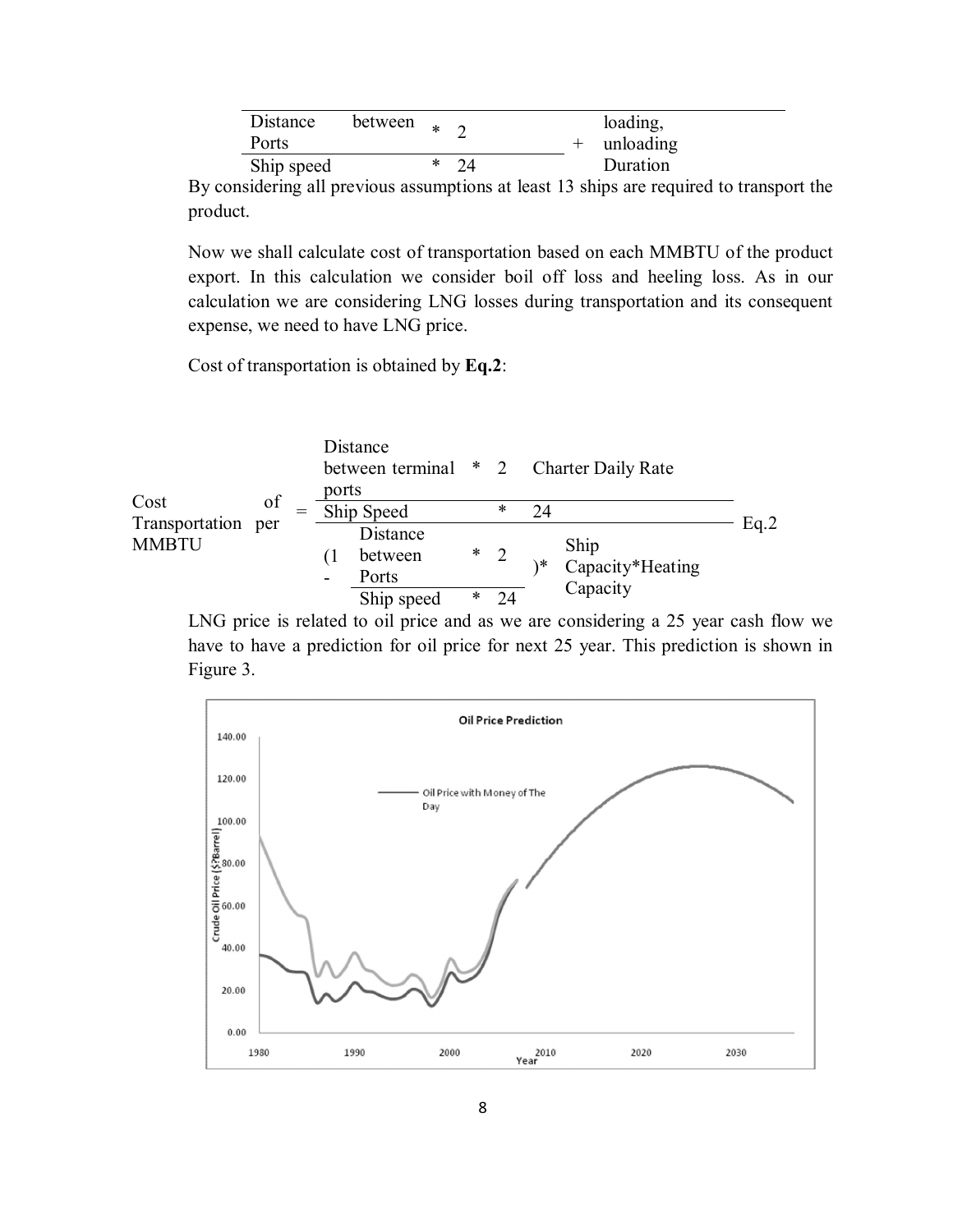| Distance   | between $\ast$ $\circ$ |     |             | loading, |
|------------|------------------------|-----|-------------|----------|
| Ports      |                        |     | + unloading |          |
| Ship speed |                        | -24 |             | Duration |

By considering all previous assumptions at least 13 ships are required to transport the product.

Now we shall calculate cost of transportation based on each MMBTU of the product export. In this calculation we consider boil off loss and heeling loss. As in our calculation we are considering LNG losses during transportation and its consequent expense, we need to have LNG price.

Cost of transportation is obtained by Eq.2:



LNG price is related to oil price and as we are considering a 25 year cash flow we have to have a prediction for oil price for next 25 year. This prediction is shown in Figure 3.

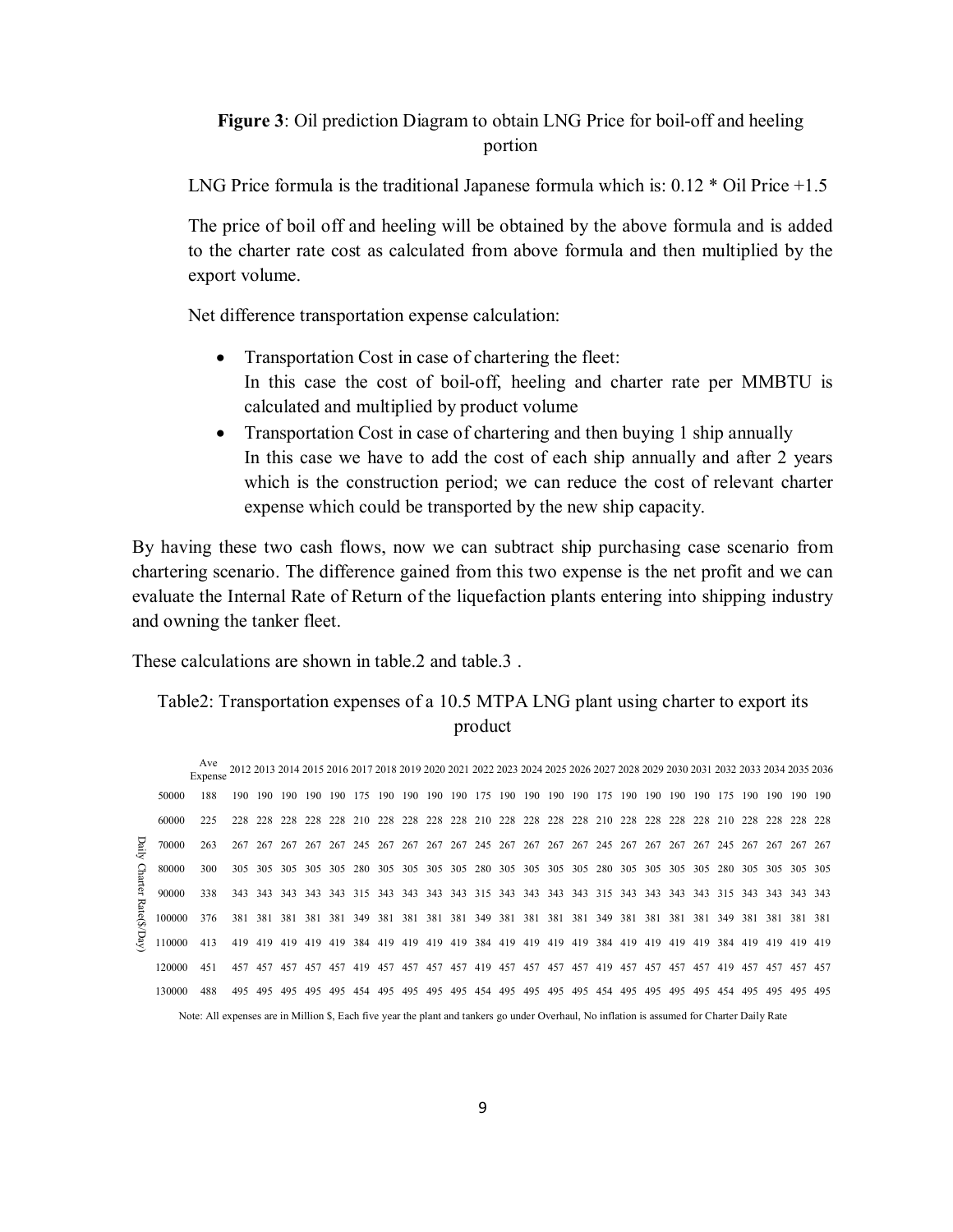# Figure 3: Oil prediction Diagram to obtain LNG Price for boil-off and heeling portion

LNG Price formula is the traditional Japanese formula which is: 0.12 \* Oil Price +1.5

The price of boil off and heeling will be obtained by the above formula and is added to the charter rate cost as calculated from above formula and then multiplied by the export volume.

Net difference transportation expense calculation:

- Transportation Cost in case of chartering the fleet: In this case the cost of boil-off, heeling and charter rate per MMBTU is calculated and multiplied by product volume
- Transportation Cost in case of chartering and then buying 1 ship annually In this case we have to add the cost of each ship annually and after 2 years which is the construction period; we can reduce the cost of relevant charter expense which could be transported by the new ship capacity.

By having these two cash flows, now we can subtract ship purchasing case scenario from chartering scenario. The difference gained from this two expense is the net profit and we can evaluate the Internal Rate of Return of the liquefaction plants entering into shipping industry and owning the tanker fleet.

These calculations are shown in table 2 and table 3

# Table2: Transportation expenses of a 10.5 MTPA LNG plant using charter to export its product

|                     |        | Expense                                                                                                                                      |      |             |     |         |                 |     |     | 2012 2013 2014 2015 2016 2017 2018 2019 2020 2021 2022 2023 2024 2025 2026 2027 2028 2029 2030 2031 2032 2033 2034 2035 2036 |     |         |     |     |     |         |         |                                                                     |     |     |     |             |         |       |
|---------------------|--------|----------------------------------------------------------------------------------------------------------------------------------------------|------|-------------|-----|---------|-----------------|-----|-----|------------------------------------------------------------------------------------------------------------------------------|-----|---------|-----|-----|-----|---------|---------|---------------------------------------------------------------------|-----|-----|-----|-------------|---------|-------|
|                     | 50000  | 188                                                                                                                                          | 190. | 190         |     | 190 190 | 190             | 175 |     | 190 190 190                                                                                                                  |     |         |     |     |     |         |         | 190 175 190 190 190 190 175 190 190 190 190 175                     |     |     |     | 190 190 190 |         | - 190 |
|                     | 60000  | 225                                                                                                                                          | 228  | 228         | 228 |         |                 |     |     | 228 228 210 228 228 228 228 210 228 228 228 228 210 228 228 228 228 210                                                      |     |         |     |     |     |         |         |                                                                     |     |     | 228 | 228         | 228     | 228   |
| Daily               | 70000  | 263                                                                                                                                          | 267  | 267         |     |         |                 |     |     | 267 267 267 245 267 267 267 267 245 267 267 267 267 245 267 267 267 267 245 267 267 267                                      |     |         |     |     |     |         |         |                                                                     |     |     |     |             |         | 267   |
|                     | 80000  | 300                                                                                                                                          | 305. | 305         |     |         | 305 305 305 280 |     |     | 305 305 305 305 280 305 305 305 305 280 305 305 305 305 280                                                                  |     |         |     |     |     |         |         |                                                                     |     |     | 305 | 305 305 305 |         |       |
| Charter Rate(\$/Day | 90000  | 338                                                                                                                                          | 343  | 343         |     |         |                 |     |     | 343 343 343 343 343 343 343 343 315 343 343 343 343 315 343 343 343 343 343 315 343 343 343 343                              |     |         |     |     |     |         |         |                                                                     |     |     |     |             |         |       |
|                     | 100000 | 376                                                                                                                                          | 381  |             |     |         |                 |     |     | 381 381 381 381 349 381 381 381 381 349 381 381 381 381 381 349 381 381 381 381 349 381 381 381 381                          |     |         |     |     |     |         |         |                                                                     |     |     |     |             |         |       |
|                     | 10000  | 413                                                                                                                                          |      | 419 419 419 |     |         | 419 419 384     |     |     | 419 419                                                                                                                      |     |         |     |     |     |         |         | 419 419 384 419 419 419 419 384 419 419 419 419 384 419 419 419 419 |     |     |     |             |         |       |
|                     | 120000 | 451                                                                                                                                          |      | 457 457     | 457 |         |                 |     |     | 457 457 419 457 457 457 457 419 457 457 457 457 419 457 457 457 457 419 457                                                  |     |         |     |     |     |         |         |                                                                     |     |     |     | 457 457 457 |         |       |
|                     | 130000 | 488                                                                                                                                          | 495  | 495         | 495 | 495     | 495             | 454 | 495 | 495                                                                                                                          | 495 | 495 454 | 495 | 495 | 495 | 495 454 | 495 495 | 495                                                                 | 495 | 454 | 495 | 495         | 495 495 |       |
|                     |        | Note: All expenses are in Million \$, Each five year the plant and tankers go under Overhaul, No inflation is assumed for Charter Daily Rate |      |             |     |         |                 |     |     |                                                                                                                              |     |         |     |     |     |         |         |                                                                     |     |     |     |             |         |       |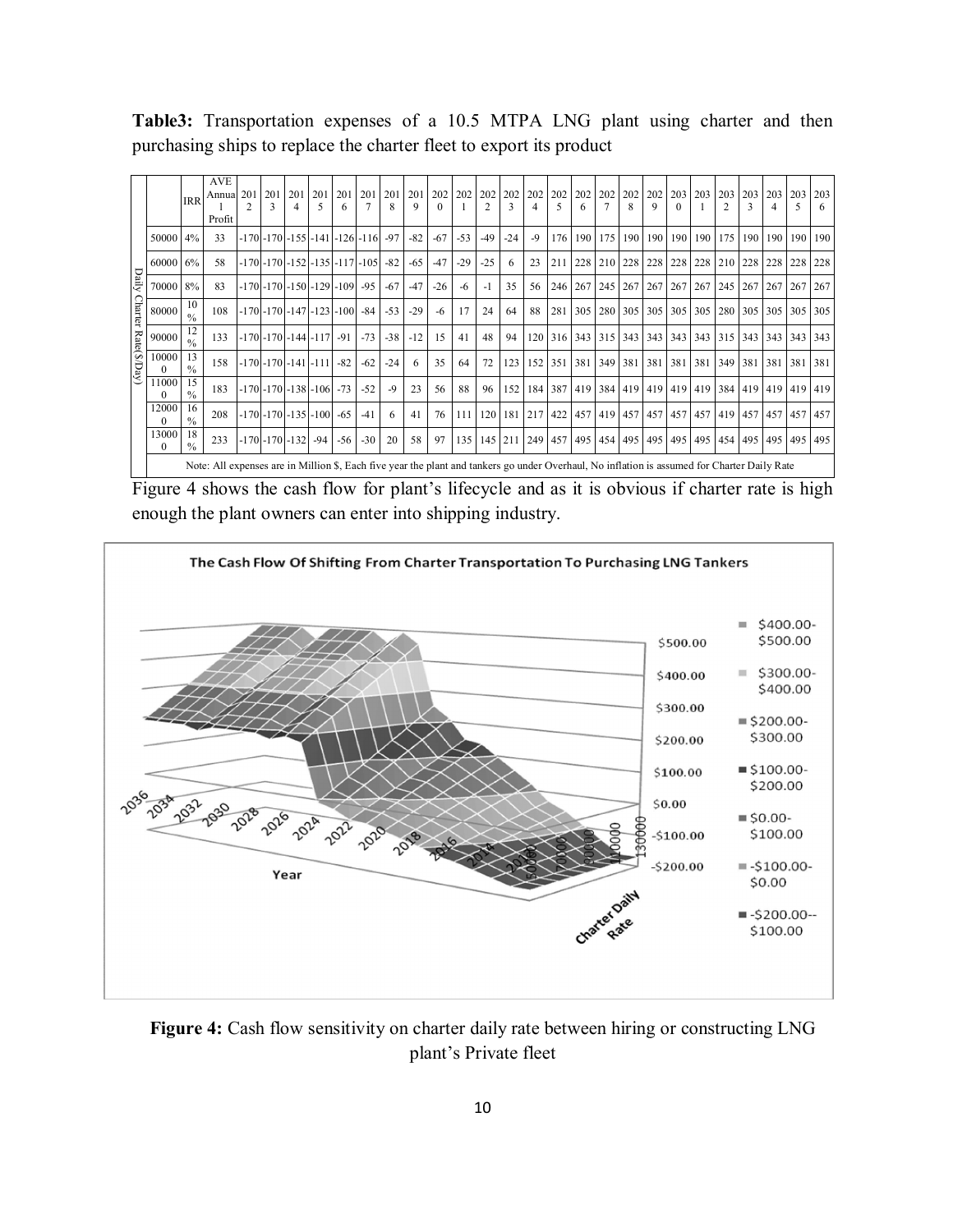Table3: Transportation expenses of a 10.5 MTPA LNG plant using charter and then purchasing ships to replace the charter fleet to export its product

|                |                | <b>IRR</b>          | <b>AVE</b><br>Annua 201 201<br>Profit                                                                                                        | 3                                 | 201 | 201<br>5 | 201                                      | 201                                             | 201<br>8 | 201<br>9 | 202<br>$\Omega$ |       | 202 202<br>$\mathfrak{D}$ | $\mathbf{3}$ | 202 202<br>4     | 5   | 202 202 202 202<br>6        | $\mathbf{8}$ | 202<br>9 | 203<br>0                                | 203     | 203<br>2 | 203     | 203<br>$\overline{4}$                                                                         | 203<br>5    | 203<br>6 |
|----------------|----------------|---------------------|----------------------------------------------------------------------------------------------------------------------------------------------|-----------------------------------|-----|----------|------------------------------------------|-------------------------------------------------|----------|----------|-----------------|-------|---------------------------|--------------|------------------|-----|-----------------------------|--------------|----------|-----------------------------------------|---------|----------|---------|-----------------------------------------------------------------------------------------------|-------------|----------|
|                | $50000$ 4%     |                     | 33                                                                                                                                           |                                   |     |          |                                          | $-170$ $-170$ $-155$ $-141$ $-126$ $-116$ $-97$ |          | $-82$    | $-67$           | $-53$ | $-49$                     | $-24$        | $-9$             |     |                             |              |          | 176   190   175   190   190   190   190 |         | 175      | 190     |                                                                                               | 190 190 190 |          |
|                | $60000 \, 6\%$ |                     | 58                                                                                                                                           |                                   |     |          |                                          | $-170$ $-170$ $-152$ $-135$ $-117$ $-105$ $-82$ |          | $-65$    | $-47$           | $-29$ | $-25$                     | 6            | 23               | 211 | 228   210   228   228   228 |              |          |                                         | 228 210 |          | 228 228 |                                                                                               | 228 228     |          |
| Daily          | 70000 8%       |                     | 83                                                                                                                                           |                                   |     |          | $-170$ $-170$ $-150$ $-129$ $-109$ $-95$ |                                                 | $-67$    | $-47$    | $-26$           | -6    | $-1$                      | 35           | 56               |     |                             |              |          | 246   267   245   267   267   267   267 |         | 245      | 267 267 |                                                                                               | 267         | 267      |
| <b>Charter</b> | 80000          | 10<br>$\frac{0}{0}$ | 108                                                                                                                                          |                                   |     |          | $-170$ $-170$ $-147$ $-123$ $-100$ $-84$ |                                                 | $-53$    | $-29$    | $-6$            | 17    | 24                        | 64           | 88               | 281 |                             |              |          |                                         |         |          |         | 305   280   305   305   305   305   280   305   305   305   305                               |             |          |
|                | 90000          | 12<br>$\frac{0}{0}$ | 133                                                                                                                                          | $-170$ $-170$ $-144$ $-117$ $-91$ |     |          |                                          | $-73$                                           | $-38$    | $-12$    | 15              | 41    | 48                        | 94           | 120 <sub>1</sub> |     | 316 343 315 343             |              |          | 343 343 343                             |         | 315      |         | 343 343 343 343                                                                               |             |          |
| Rate(\$/Day)   | 10000          | 13<br>$\frac{0}{0}$ | 158                                                                                                                                          | $-170$ $-170$ $-141$ $-111$       |     |          | $-82$                                    | $-62$                                           | $-24$    | 6        | 35              | 64    | 72                        | 123          | 152              | 351 | 381 349 381                 |              |          | 381 381 381                             |         | 349      | 381     | 381                                                                                           | 381         | 381      |
|                | 11000          | 15<br>$\frac{0}{0}$ | 183                                                                                                                                          | $-170$ $-170$ $-138$ $-106$ $-73$ |     |          |                                          | $-52$                                           | -9       | 23       | 56              | 88    | 96                        | 152          |                  |     |                             |              |          |                                         |         |          |         | 184 387 419 384 419 419 419 419 384 419 419 419 419 419                                       |             |          |
|                | 12000<br>0     | 16<br>$\frac{0}{0}$ | 208                                                                                                                                          | $-170$ $-170$ $-135$ $-100$ $-65$ |     |          |                                          | $-41$                                           | 6        | 41       | 76              | 111   | 120                       |              | 181 217          |     |                             |              |          |                                         |         |          |         | 422   457   419   457   457   457   457   419   457   457   457   457                         |             |          |
|                | 13000<br>0     | 18<br>$\frac{0}{0}$ | 233                                                                                                                                          | $-170$ $-170$ $-132$ $-94$        |     |          | $-56$                                    | $-30$                                           | 20       | 58       | 97              |       |                           |              |                  |     |                             |              |          |                                         |         |          |         | 135   145   211   249   457   495   454   495   495   495   495   454   495   495   495   495 |             |          |
|                |                |                     | Note: All expenses are in Million \$, Each five year the plant and tankers go under Overhaul, No inflation is assumed for Charter Daily Rate |                                   |     |          |                                          |                                                 |          |          |                 |       |                           |              |                  |     |                             |              |          |                                         |         |          |         |                                                                                               |             |          |

Figure 4 shows the cash flow for plant's lifecycle and as it is obvious if charter rate is high enough the plant owners can enter into shipping industry.



Figure 4: Cash flow sensitivity on charter daily rate between hiring or constructing LNG plant's Private fleet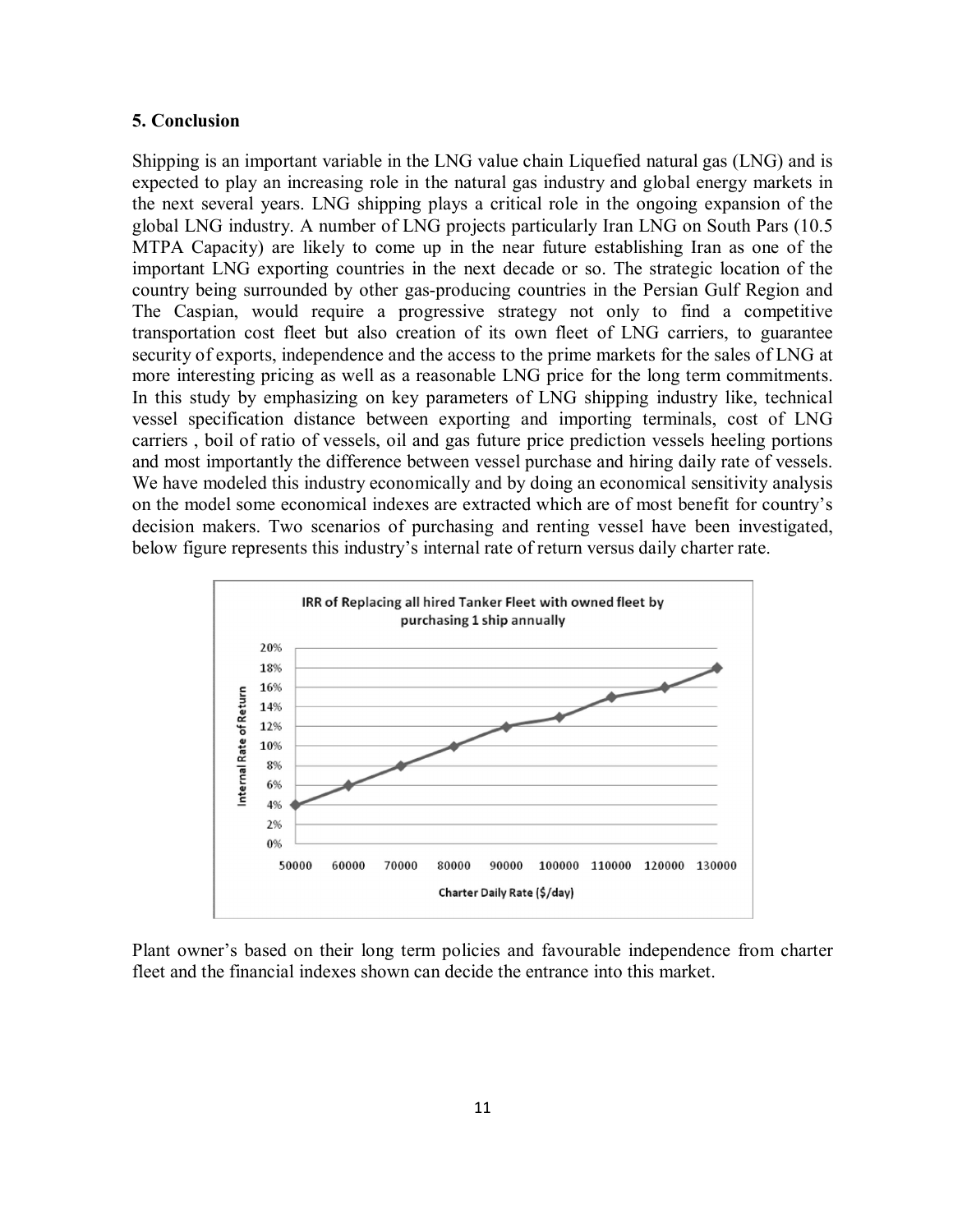#### 5. Conclusion

Shipping is an important variable in the LNG value chain Liquefied natural gas (LNG) and is expected to play an increasing role in the natural gas industry and global energy markets in the next several years. LNG shipping plays a critical role in the ongoing expansion of the global LNG industry. A number of LNG projects particularly Iran LNG on South Pars (10.5 MTPA Capacity) are likely to come up in the near future establishing Iran as one of the important LNG exporting countries in the next decade or so. The strategic location of the country being surrounded by other gas-producing countries in the Persian Gulf Region and The Caspian, would require a progressive strategy not only to find a competitive transportation cost fleet but also creation of its own fleet of LNG carriers, to guarantee security of exports, independence and the access to the prime markets for the sales of LNG at more interesting pricing as well as a reasonable LNG price for the long term commitments. In this study by emphasizing on key parameters of LNG shipping industry like, technical vessel specification distance between exporting and importing terminals, cost of LNG carriers , boil of ratio of vessels, oil and gas future price prediction vessels heeling portions and most importantly the difference between vessel purchase and hiring daily rate of vessels. We have modeled this industry economically and by doing an economical sensitivity analysis on the model some economical indexes are extracted which are of most benefit for country's decision makers. Two scenarios of purchasing and renting vessel have been investigated, below figure represents this industry's internal rate of return versus daily charter rate.



Plant owner's based on their long term policies and favourable independence from charter fleet and the financial indexes shown can decide the entrance into this market.